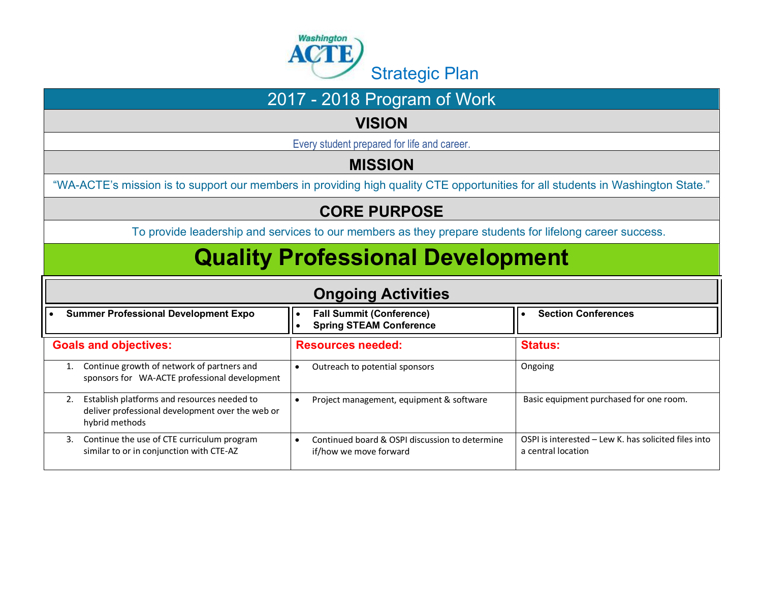

#### **VISION**

Every student prepared for life and career.

### **MISSION**

"WA-ACTE's mission is to support our members in providing high quality CTE opportunities for all students in Washington State."

### **CORE PURPOSE**

To provide leadership and services to our members as they prepare students for lifelong career success.

# **Quality Professional Development**

| <b>Ongoing Activities</b>                                                                                               |                                                                          |                                                                            |  |  |
|-------------------------------------------------------------------------------------------------------------------------|--------------------------------------------------------------------------|----------------------------------------------------------------------------|--|--|
| <b>Summer Professional Development Expo</b>                                                                             | <b>Fall Summit (Conference)</b><br><b>Spring STEAM Conference</b>        | <b>Section Conferences</b>                                                 |  |  |
| <b>Goals and objectives:</b>                                                                                            | <b>Resources needed:</b>                                                 | <b>Status:</b>                                                             |  |  |
| Continue growth of network of partners and<br>sponsors for WA-ACTE professional development                             | Outreach to potential sponsors                                           | Ongoing                                                                    |  |  |
| Establish platforms and resources needed to<br>2.<br>deliver professional development over the web or<br>hybrid methods | Project management, equipment & software                                 | Basic equipment purchased for one room.                                    |  |  |
| Continue the use of CTE curriculum program<br>3.<br>similar to or in conjunction with CTE-AZ                            | Continued board & OSPI discussion to determine<br>if/how we move forward | OSPI is interested – Lew K, has solicited files into<br>a central location |  |  |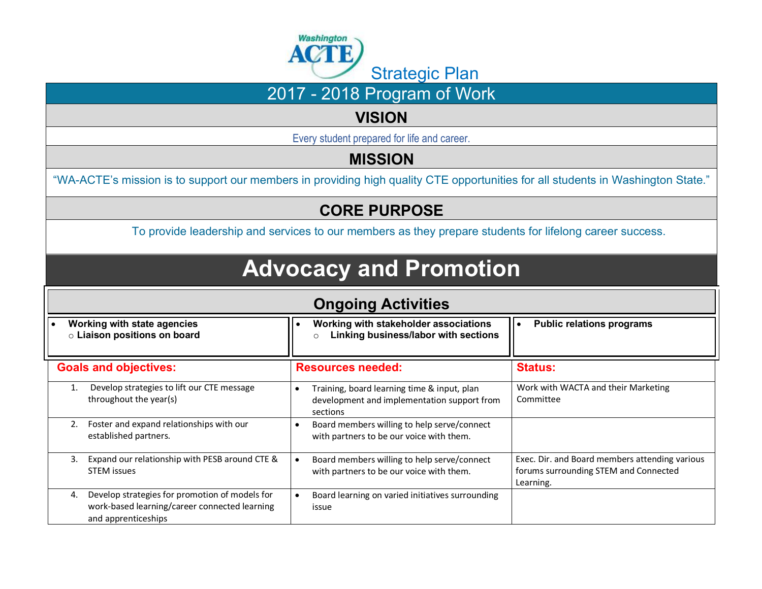

#### **VISION**

Every student prepared for life and career.

### **MISSION**

"WA-ACTE's mission is to support our members in providing high quality CTE opportunities for all students in Washington State."

### **CORE PURPOSE**

To provide leadership and services to our members as they prepare students for lifelong career success.

# **Advocacy and Promotion**

| <b>Ongoing Activities</b>                                                                                                    |                                                                                                        |                                                                                                      |  |  |
|------------------------------------------------------------------------------------------------------------------------------|--------------------------------------------------------------------------------------------------------|------------------------------------------------------------------------------------------------------|--|--|
| Working with state agencies<br>o Liaison positions on board                                                                  | Working with stakeholder associations<br>Linking business/labor with sections<br>$\circ$               | <b>Public relations programs</b><br>$\bullet$                                                        |  |  |
| <b>Goals and objectives:</b>                                                                                                 | <b>Resources needed:</b>                                                                               | <b>Status:</b>                                                                                       |  |  |
| Develop strategies to lift our CTE message<br>throughout the year(s)                                                         | Training, board learning time & input, plan<br>development and implementation support from<br>sections | Work with WACTA and their Marketing<br>Committee                                                     |  |  |
| Foster and expand relationships with our<br>2.<br>established partners.                                                      | Board members willing to help serve/connect<br>with partners to be our voice with them.                |                                                                                                      |  |  |
| Expand our relationship with PESB around CTE &<br>3.<br><b>STEM</b> issues                                                   | Board members willing to help serve/connect<br>with partners to be our voice with them.                | Exec. Dir. and Board members attending various<br>forums surrounding STEM and Connected<br>Learning. |  |  |
| Develop strategies for promotion of models for<br>4.<br>work-based learning/career connected learning<br>and apprenticeships | Board learning on varied initiatives surrounding<br>issue                                              |                                                                                                      |  |  |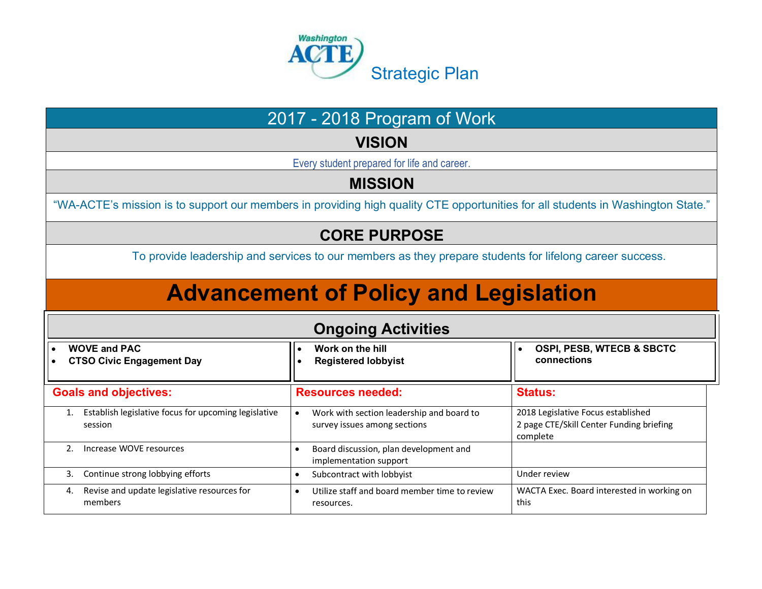

#### **VISION**

Every student prepared for life and career.

#### **MISSION**

"WA-ACTE's mission is to support our members in providing high quality CTE opportunities for all students in Washington State."

#### **CORE PURPOSE**

To provide leadership and services to our members as they prepare students for lifelong career success.

# **Advancement of Policy and Legislation**

| <b>Ongoing Activities</b>                                       |                                                                           |                                                                                            |  |  |
|-----------------------------------------------------------------|---------------------------------------------------------------------------|--------------------------------------------------------------------------------------------|--|--|
| <b>WOVE and PAC</b><br><b>CTSO Civic Engagement Day</b>         | Work on the hill<br><b>Registered lobbyist</b>                            | <b>OSPI, PESB, WTECB &amp; SBCTC</b><br>connections                                        |  |  |
| <b>Goals and objectives:</b>                                    | <b>Resources needed:</b>                                                  | <b>Status:</b>                                                                             |  |  |
| Establish legislative focus for upcoming legislative<br>session | Work with section leadership and board to<br>survey issues among sections | 2018 Legislative Focus established<br>2 page CTE/Skill Center Funding briefing<br>complete |  |  |
| Increase WOVE resources                                         | Board discussion, plan development and<br>implementation support          |                                                                                            |  |  |
| 3.<br>Continue strong lobbying efforts                          | Subcontract with lobbyist                                                 | Under review                                                                               |  |  |
| Revise and update legislative resources for<br>4.<br>members    | Utilize staff and board member time to review<br>resources.               | WACTA Exec. Board interested in working on<br>this                                         |  |  |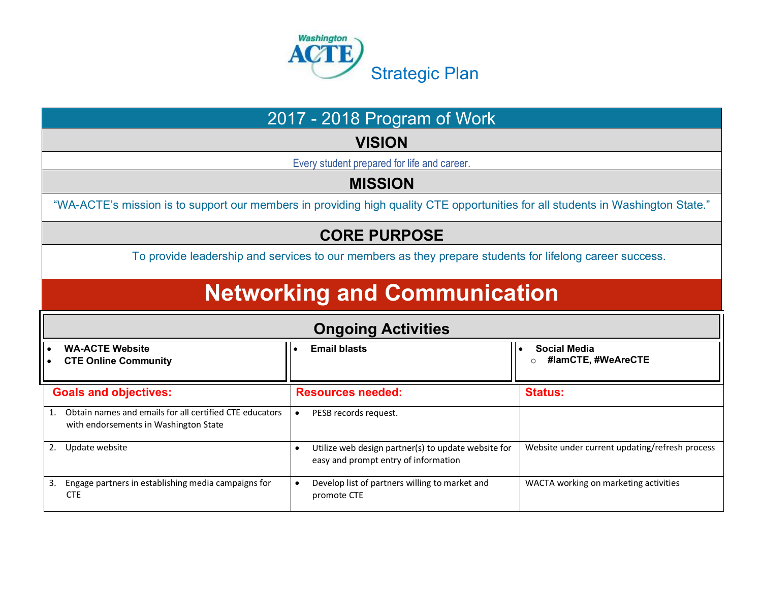

**VISION**

Every student prepared for life and career.

#### **MISSION**

"WA-ACTE's mission is to support our members in providing high quality CTE opportunities for all students in Washington State."

#### **CORE PURPOSE**

To provide leadership and services to our members as they prepare students for lifelong career success.

# **Networking and Communication**

| <b>Ongoing Activities</b>    |                                                                                                     |           |                                                                                             |                                                |
|------------------------------|-----------------------------------------------------------------------------------------------------|-----------|---------------------------------------------------------------------------------------------|------------------------------------------------|
|                              | <b>WA-ACTE Website</b><br>• CTE Online Community                                                    |           | <b>Email blasts</b>                                                                         | <b>Social Media</b><br>#lamCTE, #WeAreCTE      |
| <b>Goals and objectives:</b> |                                                                                                     |           | <b>Resources needed:</b>                                                                    | <b>Status:</b>                                 |
|                              | 1. Obtain names and emails for all certified CTE educators<br>with endorsements in Washington State |           | PESB records request.                                                                       |                                                |
|                              | 2. Update website                                                                                   |           | Utilize web design partner(s) to update website for<br>easy and prompt entry of information | Website under current updating/refresh process |
|                              | 3. Engage partners in establishing media campaigns for<br><b>CTE</b>                                | $\bullet$ | Develop list of partners willing to market and<br>promote CTE                               | WACTA working on marketing activities          |